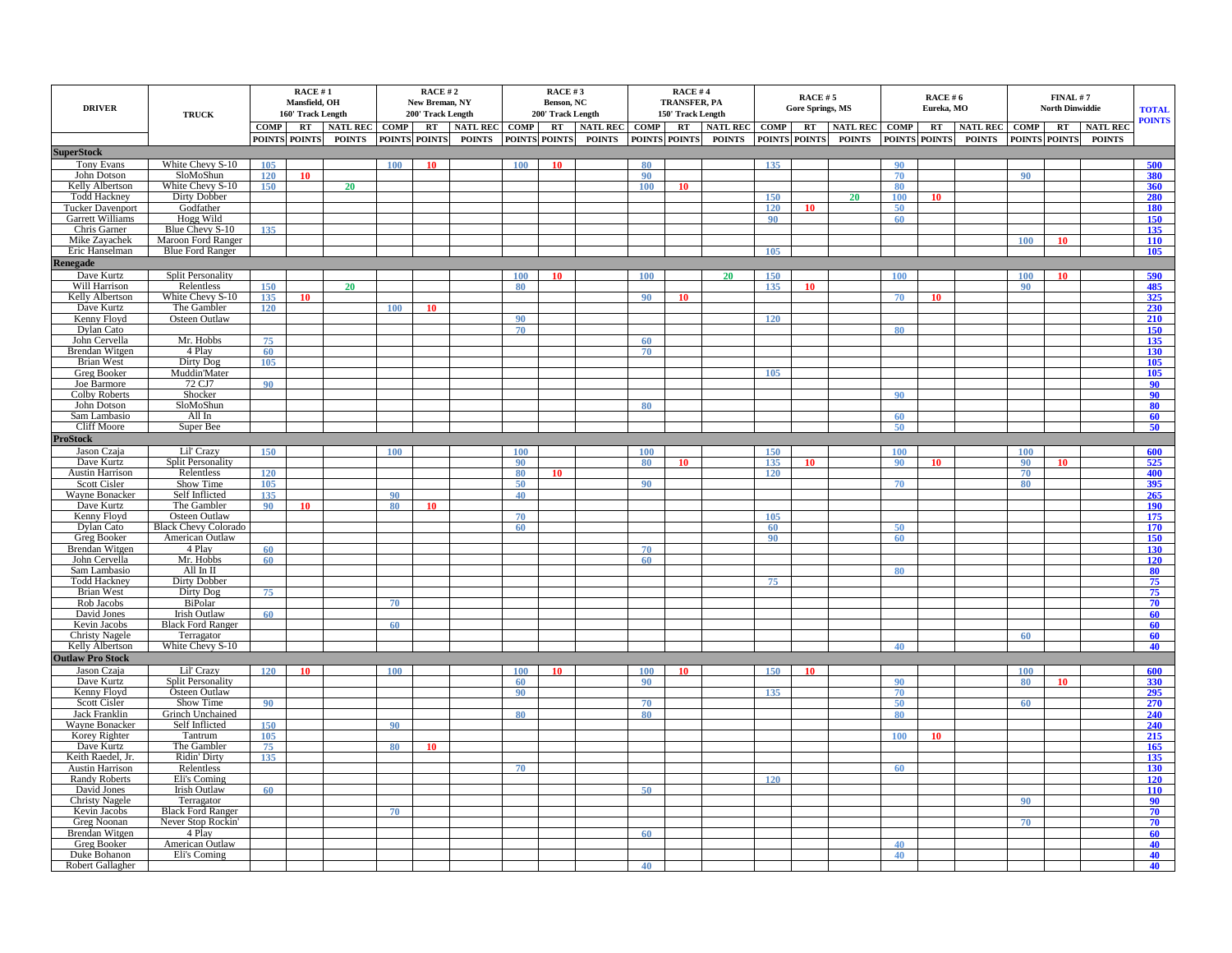| <b>DRIVER</b>                               | <b>TRUCK</b>                           | RACE #1<br>Mansfield, OH<br>160' Track Length |               |               | RACE #2<br>New Breman, NY<br>200' Track Length |               |                 |               | RACE#3<br>Benson, NC<br>200' Track Length |               |               | <b>RACE#4</b><br><b>TRANSFER, PA</b><br>150' Track Length |                 |                 | RACE #5<br><b>Gore Springs, MS</b> |               |               | <b>RACE #6</b><br>Eureka, MO |                 | FINAL # 7<br><b>North Dinwiddie</b> |               |                 | <b>TOTAL</b><br><b>POINTS</b> |
|---------------------------------------------|----------------------------------------|-----------------------------------------------|---------------|---------------|------------------------------------------------|---------------|-----------------|---------------|-------------------------------------------|---------------|---------------|-----------------------------------------------------------|-----------------|-----------------|------------------------------------|---------------|---------------|------------------------------|-----------------|-------------------------------------|---------------|-----------------|-------------------------------|
|                                             |                                        | COMP <sup>1</sup>                             | RT            | NATL REC COMP |                                                | RT            | <b>NATL REC</b> | COMP          |                                           | RT NATL REC   | <b>COMP</b>   | RT                                                        | NATL REC COMP   |                 | RT                                 | NATL REC COMP |               | $\bf RT$                     | <b>NATL REC</b> | <b>COMP</b>                         | RT            | <b>NATL REC</b> |                               |
| <b>SuperStock</b>                           |                                        |                                               | POINTS POINTS | <b>POINTS</b> | <b>POINTS</b>                                  | <b>POINTS</b> | <b>POINTS</b>   | POINTS POINTS |                                           | <b>POINTS</b> | POINTS POINTS |                                                           | <b>POINTS</b>   | POINTS POINTS   |                                    | <b>POINTS</b> | POINTS POINTS |                              | <b>POINTS</b>   |                                     | POINTS POINTS | <b>POINTS</b>   |                               |
| <b>Tony Evans</b>                           | White Chevy S-10                       | 105                                           |               |               | 100                                            | 10            |                 | 100           | 10                                        |               | 80            |                                                           |                 | 135             |                                    |               | 90            |                              |                 |                                     |               |                 | 500                           |
| John Dotson                                 | SloMoShun                              | 120                                           | 10            |               |                                                |               |                 |               |                                           |               | 90            |                                                           |                 |                 |                                    |               | 70            |                              |                 | 90                                  |               |                 | 380                           |
| Kelly Albertson                             | White Chevy S-10                       | 150                                           |               | 20            |                                                |               |                 |               |                                           |               | 100           | 10                                                        |                 |                 |                                    |               | 80            |                              |                 |                                     |               |                 | 360                           |
| <b>Todd Hackney</b>                         | Dirty Dobber                           |                                               |               |               |                                                |               |                 |               |                                           |               |               |                                                           |                 | 150             |                                    | 20            | 100           | 10                           |                 |                                     |               |                 | 280                           |
| <b>Tucker Davenport</b>                     | Godfather                              |                                               |               |               |                                                |               |                 |               |                                           |               |               |                                                           |                 | 120             |                                    |               | 50            |                              |                 |                                     |               |                 | 180                           |
| <b>Garrett Williams</b>                     | Hogg Wild                              |                                               |               |               |                                                |               |                 |               |                                           |               |               |                                                           |                 | 90 <sup>°</sup> |                                    |               | 60            |                              |                 |                                     |               |                 | 150                           |
| Chris Garner                                | Blue Chevy S-10                        | 135                                           |               |               |                                                |               |                 |               |                                           |               |               |                                                           |                 |                 |                                    |               |               |                              |                 |                                     |               |                 | 135                           |
| Mike Zayachek                               | Maroon Ford Ranger                     |                                               |               |               |                                                |               |                 |               |                                           |               |               |                                                           |                 |                 |                                    |               |               |                              |                 | 100                                 | 10            |                 | <b>110</b>                    |
| Eric Hanselman                              | <b>Blue Ford Ranger</b>                |                                               |               |               |                                                |               |                 |               |                                           |               |               |                                                           |                 | 105             |                                    |               |               |                              |                 |                                     |               |                 | 105                           |
| Renegade                                    |                                        |                                               |               |               |                                                |               |                 |               |                                           |               |               |                                                           |                 |                 |                                    |               |               |                              |                 |                                     |               |                 |                               |
| Dave Kurtz<br>Will Harrison                 | <b>Split Personality</b><br>Relentless | 150                                           |               | 20            |                                                |               |                 | 100<br>80     | 10                                        |               | 100           |                                                           | 20 <sup>°</sup> | 150<br>135      | 10                                 |               | 100           |                              |                 | 100<br>90                           | 10            |                 | 590<br>485                    |
| <b>Kelly Albertson</b>                      | White Chevy S-10                       | 135                                           | 10            |               |                                                |               |                 |               |                                           |               | 90            |                                                           |                 |                 |                                    |               | 70            | 10                           |                 |                                     |               |                 | 325                           |
| Dave Kurtz                                  | The Gambler                            | 120                                           |               |               | 100                                            | 10            |                 |               |                                           |               |               |                                                           |                 |                 |                                    |               |               |                              |                 |                                     |               |                 | 230                           |
| Kenny Floyd                                 | Osteen Outlaw                          |                                               |               |               |                                                |               |                 | 90            |                                           |               |               |                                                           |                 | 120             |                                    |               |               |                              |                 |                                     |               |                 | 210                           |
| Dylan Cato                                  |                                        |                                               |               |               |                                                |               |                 | 70            |                                           |               |               |                                                           |                 |                 |                                    |               | 80            |                              |                 |                                     |               |                 | 150                           |
| John Cervella                               | Mr. Hobbs                              | 75                                            |               |               |                                                |               |                 |               |                                           |               | 60            |                                                           |                 |                 |                                    |               |               |                              |                 |                                     |               |                 | 135                           |
| Brendan Witgen                              | 4 Play                                 | 60                                            |               |               |                                                |               |                 |               |                                           |               | 70            |                                                           |                 |                 |                                    |               |               |                              |                 |                                     |               |                 | 130                           |
| Brian West                                  | Dirty Dog                              | 105                                           |               |               |                                                |               |                 |               |                                           |               |               |                                                           |                 | 105             |                                    |               |               |                              |                 |                                     |               |                 | 105                           |
| Greg Booker<br>Joe Barmore                  | Muddin'Mater<br>72 CJ7                 | 90                                            |               |               |                                                |               |                 |               |                                           |               |               |                                                           |                 |                 |                                    |               |               |                              |                 |                                     |               |                 | 105<br>90                     |
| Colby Roberts                               | Shocker                                |                                               |               |               |                                                |               |                 |               |                                           |               |               |                                                           |                 |                 |                                    |               | 90            |                              |                 |                                     |               |                 | 90                            |
| John Dotson                                 | SloMoShun                              |                                               |               |               |                                                |               |                 |               |                                           |               | 80            |                                                           |                 |                 |                                    |               |               |                              |                 |                                     |               |                 | 80                            |
| Sam Lambasio                                | All In                                 |                                               |               |               |                                                |               |                 |               |                                           |               |               |                                                           |                 |                 |                                    |               | 60            |                              |                 |                                     |               |                 | 60                            |
| Cliff Moore                                 | Super Bee                              |                                               |               |               |                                                |               |                 |               |                                           |               |               |                                                           |                 |                 |                                    |               | $50^{\circ}$  |                              |                 |                                     |               |                 | 50                            |
| <b>ProStock</b>                             |                                        |                                               |               |               |                                                |               |                 |               |                                           |               |               |                                                           |                 |                 |                                    |               |               |                              |                 |                                     |               |                 |                               |
| Jason Czaja                                 | Lil' Crazy                             | 150                                           |               |               | 100                                            |               |                 | 100           |                                           |               | 100           |                                                           |                 | 150             |                                    |               | 100           |                              |                 | 100                                 |               |                 | 600                           |
| Dave Kurtz                                  | <b>Split Personality</b>               |                                               |               |               |                                                |               |                 | 90            |                                           |               | 80            | 10                                                        |                 | 135             | 10                                 |               | 90            | 10                           |                 | 90                                  | 10            |                 | 525                           |
| <b>Austin Harrison</b><br>Scott Cisler      | Relentless<br>Show Time                | 120<br>105                                    |               |               |                                                |               |                 | 80<br>50      | 10                                        |               | 90            |                                                           |                 | 120             |                                    |               |               |                              |                 | 70<br>80                            |               |                 | 400<br>395                    |
| Wayne Bonacker                              | Self Inflicted                         | 135                                           |               |               | 90                                             |               |                 | 40            |                                           |               |               |                                                           |                 |                 |                                    |               | 70            |                              |                 |                                     |               |                 | 265                           |
| Dave Kurtz                                  | The Gambler                            | 90                                            | 10            |               | 80                                             | 10            |                 |               |                                           |               |               |                                                           |                 |                 |                                    |               |               |                              |                 |                                     |               |                 | <b>190</b>                    |
| Kenny Floyd                                 | Osteen Outlaw                          |                                               |               |               |                                                |               |                 | 70            |                                           |               |               |                                                           |                 | 105             |                                    |               |               |                              |                 |                                     |               |                 | 175                           |
| Dylan Cato                                  | <b>Black Chevy Colorado</b>            |                                               |               |               |                                                |               |                 | 60            |                                           |               |               |                                                           |                 | 60              |                                    |               | 50            |                              |                 |                                     |               |                 | 170                           |
| Greg Booker                                 | American Outlaw                        |                                               |               |               |                                                |               |                 |               |                                           |               |               |                                                           |                 | 90              |                                    |               | 60            |                              |                 |                                     |               |                 | 150                           |
| <b>Brendan Witgen</b>                       | 4 Play                                 | 60                                            |               |               |                                                |               |                 |               |                                           |               | 70            |                                                           |                 |                 |                                    |               |               |                              |                 |                                     |               |                 | 130                           |
| John Cervella<br>Sam Lambasio               | Mr. Hobbs<br>All In II                 | 60                                            |               |               |                                                |               |                 |               |                                           |               | 60            |                                                           |                 |                 |                                    |               | 80            |                              |                 |                                     |               |                 | 120<br>80                     |
| <b>Todd Hackney</b>                         | <b>Dirty Dobber</b>                    |                                               |               |               |                                                |               |                 |               |                                           |               |               |                                                           |                 | 75              |                                    |               |               |                              |                 |                                     |               |                 | 75                            |
| <b>Brian West</b>                           | Dirty Dog                              | 75                                            |               |               |                                                |               |                 |               |                                           |               |               |                                                           |                 |                 |                                    |               |               |                              |                 |                                     |               |                 | 75                            |
| Rob Jacobs                                  | BiPolar                                |                                               |               |               | 70                                             |               |                 |               |                                           |               |               |                                                           |                 |                 |                                    |               |               |                              |                 |                                     |               |                 | 70                            |
| David Jones                                 | Irish Outlaw                           | 60                                            |               |               |                                                |               |                 |               |                                           |               |               |                                                           |                 |                 |                                    |               |               |                              |                 |                                     |               |                 | 60                            |
| Kevin Jacobs                                | <b>Black Ford Ranger</b>               |                                               |               |               | 60                                             |               |                 |               |                                           |               |               |                                                           |                 |                 |                                    |               |               |                              |                 |                                     |               |                 | 60                            |
| <b>Christy Nagele</b><br>Kelly Albertson    | Terragator                             |                                               |               |               |                                                |               |                 |               |                                           |               |               |                                                           |                 |                 |                                    |               |               |                              |                 | 60                                  |               |                 | 60                            |
| <b>Outlaw Pro Stock</b>                     | White Chevy S-10                       |                                               |               |               |                                                |               |                 |               |                                           |               |               |                                                           |                 |                 |                                    |               | 40            |                              |                 |                                     |               |                 | 40                            |
| Jason Czaja                                 | Lil' Crazy                             | 120                                           | 10            |               | 100                                            |               |                 | 100           | 10                                        |               | 100           | 10                                                        |                 | 150             | 10                                 |               |               |                              |                 | 100                                 |               |                 | 600                           |
| Dave Kurtz                                  | <b>Split Personality</b>               |                                               |               |               |                                                |               |                 | 60            |                                           |               | 90            |                                                           |                 |                 |                                    |               | 90            |                              |                 | 80                                  | 10            |                 | 330                           |
| Kenny Floyd                                 | Osteen Outlaw                          |                                               |               |               |                                                |               |                 | 90            |                                           |               |               |                                                           |                 | 135             |                                    |               | 70            |                              |                 |                                     |               |                 | 295                           |
| <b>Scott Cisler</b>                         | Show Time                              | 90                                            |               |               |                                                |               |                 |               |                                           |               | 70            |                                                           |                 |                 |                                    |               | 50            |                              |                 | 60                                  |               |                 | 270                           |
| Jack Franklin                               | Grinch Unchained                       |                                               |               |               |                                                |               |                 | 80            |                                           |               | 80            |                                                           |                 |                 |                                    |               | 80            |                              |                 |                                     |               |                 | 240                           |
| Wayne Bonacker                              | Self Inflicted                         | 150                                           |               |               | 90                                             |               |                 |               |                                           |               |               |                                                           |                 |                 |                                    |               |               |                              |                 |                                     |               |                 | 240                           |
| Korey Righter                               | Tantrum                                | 105                                           |               |               |                                                |               |                 |               |                                           |               |               |                                                           |                 |                 |                                    |               | 100           | 10                           |                 |                                     |               |                 | 215                           |
| Dave Kurtz                                  | The Gambler                            | 75<br>135                                     |               |               | 80                                             | 10            |                 |               |                                           |               |               |                                                           |                 |                 |                                    |               |               |                              |                 |                                     |               |                 | 165<br>135                    |
| Keith Raedel, Jr.<br><b>Austin Harrison</b> | Ridin' Dirty<br>Relentless             |                                               |               |               |                                                |               |                 | 70            |                                           |               |               |                                                           |                 |                 |                                    |               | 60            |                              |                 |                                     |               |                 | 130                           |
| Randy Roberts                               | Eli's Coming                           |                                               |               |               |                                                |               |                 |               |                                           |               |               |                                                           |                 | 120             |                                    |               |               |                              |                 |                                     |               |                 | 120                           |
| David Jones                                 | Irish Outlaw                           | 60                                            |               |               |                                                |               |                 |               |                                           |               | 50            |                                                           |                 |                 |                                    |               |               |                              |                 |                                     |               |                 | <b>110</b>                    |
| <b>Christy Nagele</b>                       | Terragator                             |                                               |               |               |                                                |               |                 |               |                                           |               |               |                                                           |                 |                 |                                    |               |               |                              |                 | 90                                  |               |                 | 90                            |
| Kevin Jacobs                                | <b>Black Ford Ranger</b>               |                                               |               |               | 70                                             |               |                 |               |                                           |               |               |                                                           |                 |                 |                                    |               |               |                              |                 |                                     |               |                 | 70                            |
| Greg Noonan                                 | Never Stop Rockin'                     |                                               |               |               |                                                |               |                 |               |                                           |               |               |                                                           |                 |                 |                                    |               |               |                              |                 | 70                                  |               |                 | 70                            |
| <b>Brendan Witgen</b><br>Greg Booker        | 4 Play<br>American Outlaw              |                                               |               |               |                                                |               |                 |               |                                           |               | 60            |                                                           |                 |                 |                                    |               | 40            |                              |                 |                                     |               |                 | 60<br>40                      |
| Duke Bohanon                                | Eli's Coming                           |                                               |               |               |                                                |               |                 |               |                                           |               |               |                                                           |                 |                 |                                    |               | 40            |                              |                 |                                     |               |                 | 40                            |
| Robert Gallagher                            |                                        |                                               |               |               |                                                |               |                 |               |                                           |               | 40            |                                                           |                 |                 |                                    |               |               |                              |                 |                                     |               |                 | 40                            |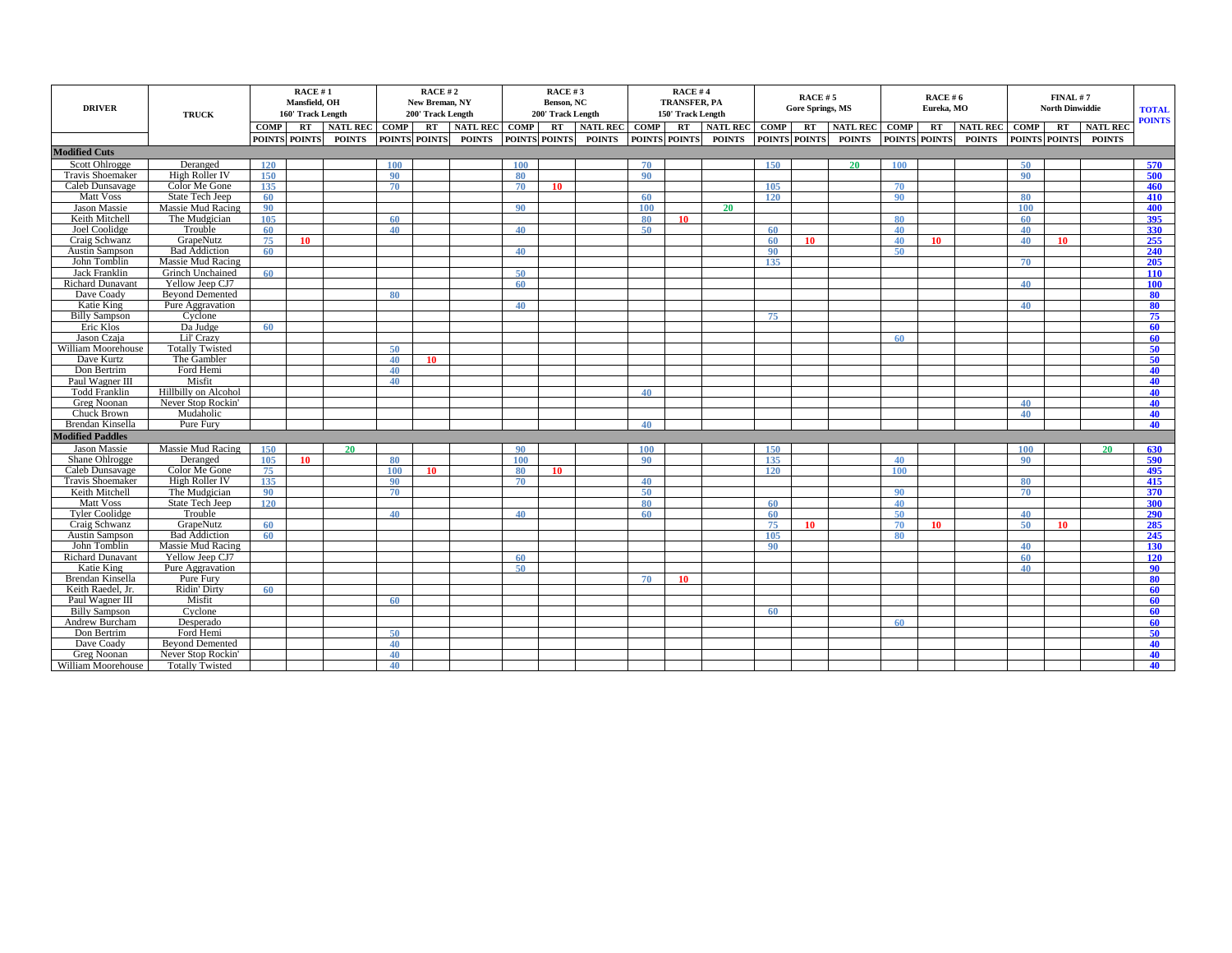| <b>DRIVER</b>                       | <b>TRUCK</b>                               | RACE #1<br>Mansfield, OH<br>160' Track Length |                  |                 | RACE #2<br>New Breman, NY<br>200' Track Length |               |               | RACE #3<br>Benson, NC<br>200' Track Length |               |                 |             | RACE #4<br><b>TRANSFER, PA</b><br>150' Track Length |               |                 | RACE #5<br><b>Gore Springs, MS</b> |                 | RACE #6<br>Eureka, MO |               |                 | FINAL #7<br><b>North Dinwiddie</b> |               |                 | <b>TOTAL</b><br><b>POINTS</b> |
|-------------------------------------|--------------------------------------------|-----------------------------------------------|------------------|-----------------|------------------------------------------------|---------------|---------------|--------------------------------------------|---------------|-----------------|-------------|-----------------------------------------------------|---------------|-----------------|------------------------------------|-----------------|-----------------------|---------------|-----------------|------------------------------------|---------------|-----------------|-------------------------------|
|                                     |                                            | <b>COMP</b>                                   | RT               | <b>NATL REC</b> | <b>COMP</b>                                    | RT            | NATL REC COMP |                                            | RT            | <b>NATL REC</b> | <b>COMP</b> |                                                     | RT NATL REC   | <b>COMP</b>     | RT                                 | <b>NATL REC</b> | <b>COMP</b>           | RT            | <b>NATL REC</b> | <b>COMP</b>                        | <b>RT</b>     | <b>NATL REC</b> |                               |
|                                     |                                            |                                               | POINTS POINTS    | <b>POINTS</b>   |                                                | POINTS POINTS | <b>POINTS</b> |                                            | POINTS POINTS | <b>POINTS</b>   |             | POINTS POINTS                                       | <b>POINTS</b> |                 | POINTS POINTS                      | <b>POINTS</b>   |                       | POINTS POINTS | <b>POINTS</b>   |                                    | POINTS POINTS | <b>POINTS</b>   |                               |
| <b>Modified Cuts</b>                |                                            |                                               |                  |                 |                                                |               |               |                                            |               |                 |             |                                                     |               |                 |                                    |                 |                       |               |                 |                                    |               |                 |                               |
| Scott Ohlrogge                      | Deranged                                   | <b>120</b>                                    |                  |                 | <b>100</b>                                     |               |               | <b>100</b>                                 |               |                 | 70          |                                                     |               | 150             |                                    | 20              | <b>100</b>            |               |                 | 50                                 |               |                 | 570                           |
| Travis Shoemaker                    | High Roller IV                             | 150                                           |                  |                 | 90                                             |               |               | 80                                         |               |                 | 90          |                                                     |               |                 |                                    |                 |                       |               |                 | 90                                 |               |                 | 500                           |
| Caleb Dunsavage                     | Color Me Gone                              | 135                                           |                  |                 | 70                                             |               |               | 70                                         | 10            |                 |             |                                                     |               | 105             |                                    |                 | 70                    |               |                 |                                    |               |                 | 460                           |
| <b>Matt Voss</b>                    | State Tech Jeep                            | 60                                            |                  |                 |                                                |               |               |                                            |               |                 | 60          |                                                     |               | 120             |                                    |                 | 90                    |               |                 | 80                                 |               |                 | 410                           |
| <b>Jason Massie</b>                 | Massie Mud Racing                          | 90                                            |                  |                 |                                                |               |               | 90                                         |               |                 | 100         |                                                     | <b>20</b>     |                 |                                    |                 |                       |               |                 | 100                                |               |                 | 400                           |
| Keith Mitchell                      | The Mudgician                              | 105                                           |                  |                 | 60                                             |               |               |                                            |               |                 | 80          | 10                                                  |               |                 |                                    |                 | 80                    |               |                 | 60                                 |               |                 | 395                           |
| Joel Coolidge                       | Trouble                                    | 60                                            |                  |                 | 40                                             |               |               | 40                                         |               |                 | 50          |                                                     |               | 60              |                                    |                 | 40                    |               |                 | 40                                 |               |                 | 330                           |
| Craig Schwanz                       | GrapeNutz                                  | 75                                            | 10 <sup>10</sup> |                 |                                                |               |               |                                            |               |                 |             |                                                     |               | 60              | -10                                |                 | 40                    | 10            |                 | 40                                 | -10           |                 | 255                           |
| Austin Sampson                      | <b>Bad Addiction</b>                       | 60                                            |                  |                 |                                                |               |               | 40                                         |               |                 |             |                                                     |               | 90              |                                    |                 | 50                    |               |                 |                                    |               |                 | 240                           |
| John Tomblin                        | Massie Mud Racing                          |                                               |                  |                 |                                                |               |               |                                            |               |                 |             |                                                     |               | 135             |                                    |                 |                       |               |                 | 70                                 |               |                 | 205                           |
| <b>Jack Franklin</b>                | Grinch Unchained                           | 60                                            |                  |                 |                                                |               |               | 50                                         |               |                 |             |                                                     |               |                 |                                    |                 |                       |               |                 |                                    |               |                 | 110                           |
| <b>Richard Dunavant</b>             | Yellow Jeep CJ7                            |                                               |                  |                 |                                                |               |               | 60                                         |               |                 |             |                                                     |               |                 |                                    |                 |                       |               |                 | 40                                 |               |                 | 100                           |
| Dave Coady                          | <b>Beyond Demented</b>                     |                                               |                  |                 | 80                                             |               |               |                                            |               |                 |             |                                                     |               |                 |                                    |                 |                       |               |                 |                                    |               |                 | 80                            |
| <b>Katie King</b>                   | Pure Aggravation                           |                                               |                  |                 |                                                |               |               | 40                                         |               |                 |             |                                                     |               |                 |                                    |                 |                       |               |                 | 40                                 |               |                 | 80                            |
| <b>Billy Sampson</b>                | Cyclone                                    |                                               |                  |                 |                                                |               |               |                                            |               |                 |             |                                                     |               | 75              |                                    |                 |                       |               |                 |                                    |               |                 | 75                            |
| Eric Klos                           | Da Judge                                   | -60                                           |                  |                 |                                                |               |               |                                            |               |                 |             |                                                     |               |                 |                                    |                 |                       |               |                 |                                    |               |                 | 60                            |
| Jason Czaia                         | Lil' Crazy                                 |                                               |                  |                 |                                                |               |               |                                            |               |                 |             |                                                     |               |                 |                                    |                 | 60                    |               |                 |                                    |               |                 | 60                            |
| William Moorehouse                  | <b>Totally Twisted</b>                     |                                               |                  |                 | 50                                             |               |               |                                            |               |                 |             |                                                     |               |                 |                                    |                 |                       |               |                 |                                    |               |                 | 50                            |
| Dave Kurtz                          | The Gambler                                |                                               |                  |                 | 40                                             | 10            |               |                                            |               |                 |             |                                                     |               |                 |                                    |                 |                       |               |                 |                                    |               |                 | $50^{\circ}$                  |
| Don Bertrim                         | Ford Hemi                                  |                                               |                  |                 | 40                                             |               |               |                                            |               |                 |             |                                                     |               |                 |                                    |                 |                       |               |                 |                                    |               |                 | 40                            |
| Paul Wagner III                     | Misfit                                     |                                               |                  |                 | 40                                             |               |               |                                            |               |                 |             |                                                     |               |                 |                                    |                 |                       |               |                 |                                    |               |                 | 40                            |
| <b>Todd Franklin</b><br>Greg Noonan | Hillbilly on Alcohol<br>Never Stop Rockin' |                                               |                  |                 |                                                |               |               |                                            |               |                 | 40          |                                                     |               |                 |                                    |                 |                       |               |                 | 40                                 |               |                 | 40<br>40                      |
|                                     | Mudaholic                                  |                                               |                  |                 |                                                |               |               |                                            |               |                 |             |                                                     |               |                 |                                    |                 |                       |               |                 |                                    |               |                 |                               |
| Chuck Brown<br>Brendan Kinsella     | Pure Fury                                  |                                               |                  |                 |                                                |               |               |                                            |               |                 | 40          |                                                     |               |                 |                                    |                 |                       |               |                 | 40                                 |               |                 | 40<br>40                      |
| <b>Modified Paddles</b>             |                                            |                                               |                  |                 |                                                |               |               |                                            |               |                 |             |                                                     |               |                 |                                    |                 |                       |               |                 |                                    |               |                 |                               |
| <b>Jason Massie</b>                 |                                            |                                               |                  |                 |                                                |               |               |                                            |               |                 |             |                                                     |               |                 |                                    |                 |                       |               |                 |                                    |               |                 |                               |
| Shane Ohlrogge                      | Massie Mud Racing<br>Deranged              | 150<br>105                                    | 10               | 20              | 80                                             |               |               | 90<br>100                                  |               |                 | 100<br>90   |                                                     |               | 150<br>135      |                                    |                 | 40                    |               |                 | 100<br>90                          |               | 20              | 630                           |
| Caleb Dunsavage                     | Color Me Gone                              | 75                                            |                  |                 | <b>100</b>                                     | <b>10</b>     |               | 80                                         | 10            |                 |             |                                                     |               | 120             |                                    |                 | 100                   |               |                 |                                    |               |                 | 590<br>495                    |
| <b>Travis Shoemaker</b>             | High Roller IV                             | 135                                           |                  |                 | 90                                             |               |               | 70                                         |               |                 | 40          |                                                     |               |                 |                                    |                 |                       |               |                 | 80                                 |               |                 | 415                           |
| Keith Mitchell                      | The Mudgician                              | 90                                            |                  |                 | 70                                             |               |               |                                            |               |                 | 50          |                                                     |               |                 |                                    |                 | 90                    |               |                 | 70                                 |               |                 | 370                           |
| <b>Matt Voss</b>                    | State Tech Jeep                            | 120                                           |                  |                 |                                                |               |               |                                            |               |                 | 80          |                                                     |               | 60              |                                    |                 | 40                    |               |                 |                                    |               |                 | 300                           |
| <b>Tyler Coolidge</b>               | Trouble                                    |                                               |                  |                 | 40                                             |               |               | 40                                         |               |                 | 60          |                                                     |               | 60              |                                    |                 | 50                    |               |                 | 40                                 |               |                 | 290                           |
| Craig Schwanz                       | GrapeNutz                                  | -60                                           |                  |                 |                                                |               |               |                                            |               |                 |             |                                                     |               | 75              | 10                                 |                 | 70                    | 10            |                 | 50                                 | <b>10</b>     |                 | 285                           |
| <b>Austin Sampson</b>               | <b>Bad Addiction</b>                       | 60                                            |                  |                 |                                                |               |               |                                            |               |                 |             |                                                     |               | 105             |                                    |                 | 80                    |               |                 |                                    |               |                 | 245                           |
| John Tomblin                        | Massie Mud Racing                          |                                               |                  |                 |                                                |               |               |                                            |               |                 |             |                                                     |               | 90 <sup>°</sup> |                                    |                 |                       |               |                 | 40                                 |               |                 | 130                           |
| <b>Richard Dunavant</b>             | Yellow Jeep CJ7                            |                                               |                  |                 |                                                |               |               | 60                                         |               |                 |             |                                                     |               |                 |                                    |                 |                       |               |                 | 60                                 |               |                 | 120                           |
| Katie King                          | Pure Aggravation                           |                                               |                  |                 |                                                |               |               | 50                                         |               |                 |             |                                                     |               |                 |                                    |                 |                       |               |                 | 40                                 |               |                 | 90                            |
| Brendan Kinsella                    | Pure Fury                                  |                                               |                  |                 |                                                |               |               |                                            |               |                 | 70          | 10                                                  |               |                 |                                    |                 |                       |               |                 |                                    |               |                 | 80                            |
| Keith Raedel, Jr.                   | Ridin' Dirty                               | 60                                            |                  |                 |                                                |               |               |                                            |               |                 |             |                                                     |               |                 |                                    |                 |                       |               |                 |                                    |               |                 | 60                            |
| Paul Wagner III                     | Misfit                                     |                                               |                  |                 | 60                                             |               |               |                                            |               |                 |             |                                                     |               |                 |                                    |                 |                       |               |                 |                                    |               |                 | 60                            |
| <b>Billy Sampson</b>                | Cyclone                                    |                                               |                  |                 |                                                |               |               |                                            |               |                 |             |                                                     |               | 60              |                                    |                 |                       |               |                 |                                    |               |                 | -60                           |
| Andrew Burcham                      | Desperado                                  |                                               |                  |                 |                                                |               |               |                                            |               |                 |             |                                                     |               |                 |                                    |                 | -60                   |               |                 |                                    |               |                 | 60                            |
| Don Bertrim                         | Ford Hemi                                  |                                               |                  |                 | 50                                             |               |               |                                            |               |                 |             |                                                     |               |                 |                                    |                 |                       |               |                 |                                    |               |                 | 50                            |
| Dave Coady                          | <b>Bevond Demented</b>                     |                                               |                  |                 | 40                                             |               |               |                                            |               |                 |             |                                                     |               |                 |                                    |                 |                       |               |                 |                                    |               |                 | 40                            |
| Greg Noonan                         | Never Stop Rockin'                         |                                               |                  |                 | 40                                             |               |               |                                            |               |                 |             |                                                     |               |                 |                                    |                 |                       |               |                 |                                    |               |                 | 40                            |
| William Moorehouse                  | <b>Totally Twisted</b>                     |                                               |                  |                 | 40                                             |               |               |                                            |               |                 |             |                                                     |               |                 |                                    |                 |                       |               |                 |                                    |               |                 | 40                            |